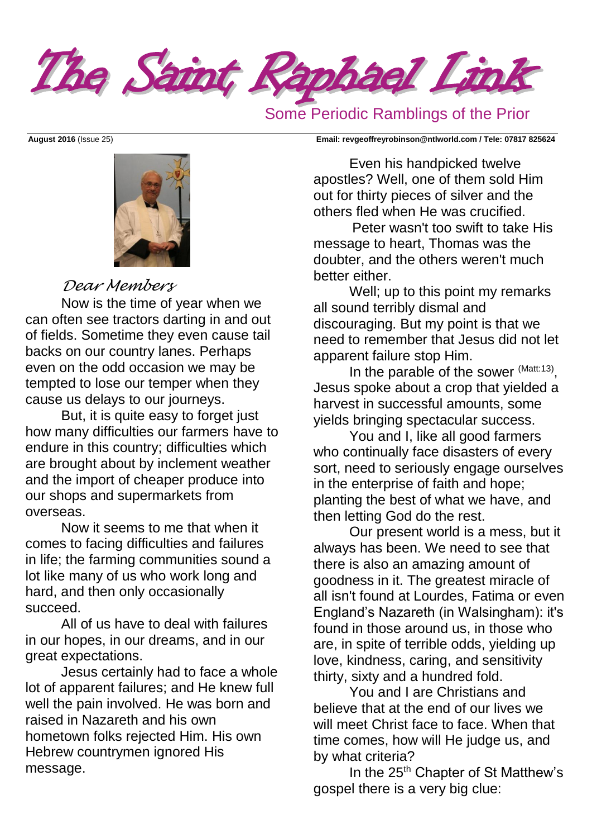The Saint Raphael Link

## Some Periodic Ramblings of the Prior



# *Dear Members*

Now is the time of year when we can often see tractors darting in and out of fields. Sometime they even cause tail backs on our country lanes. Perhaps even on the odd occasion we may be tempted to lose our temper when they cause us delays to our journeys.

But, it is quite easy to forget just how many difficulties our farmers have to endure in this country; difficulties which are brought about by inclement weather and the import of cheaper produce into our shops and supermarkets from overseas.

Now it seems to me that when it comes to facing difficulties and failures in life; the farming communities sound a lot like many of us who work long and hard, and then only occasionally succeed.

All of us have to deal with failures in our hopes, in our dreams, and in our great expectations.

Jesus certainly had to face a whole lot of apparent failures; and He knew full well the pain involved. He was born and raised in Nazareth and his own hometown folks rejected Him. His own Hebrew countrymen ignored His message.

**August 2016** (Issue 25) **Email: [revgeoffreyrobinson@ntlworld.com](mailto:revgeoffreyrobinson@ntlworld.com) / Tele: 07817 825624**

Even his handpicked twelve apostles? Well, one of them sold Him out for thirty pieces of silver and the others fled when He was crucified.

 Peter wasn't too swift to take His message to heart, Thomas was the doubter, and the others weren't much better either.

Well; up to this point my remarks all sound terribly dismal and discouraging. But my point is that we need to remember that Jesus did not let apparent failure stop Him.

In the parable of the sower  $(Matt:13)$ , Jesus spoke about a crop that yielded a harvest in successful amounts, some yields bringing spectacular success.

You and I, like all good farmers who continually face disasters of every sort, need to seriously engage ourselves in the enterprise of faith and hope; planting the best of what we have, and then letting God do the rest.

Our present world is a mess, but it always has been. We need to see that there is also an amazing amount of goodness in it. The greatest miracle of all isn't found at Lourdes, Fatima or even England's Nazareth (in Walsingham): it's found in those around us, in those who are, in spite of terrible odds, yielding up love, kindness, caring, and sensitivity thirty, sixty and a hundred fold.

You and I are Christians and believe that at the end of our lives we will meet Christ face to face. When that time comes, how will He judge us, and by what criteria?

In the 25<sup>th</sup> Chapter of St Matthew's gospel there is a very big clue: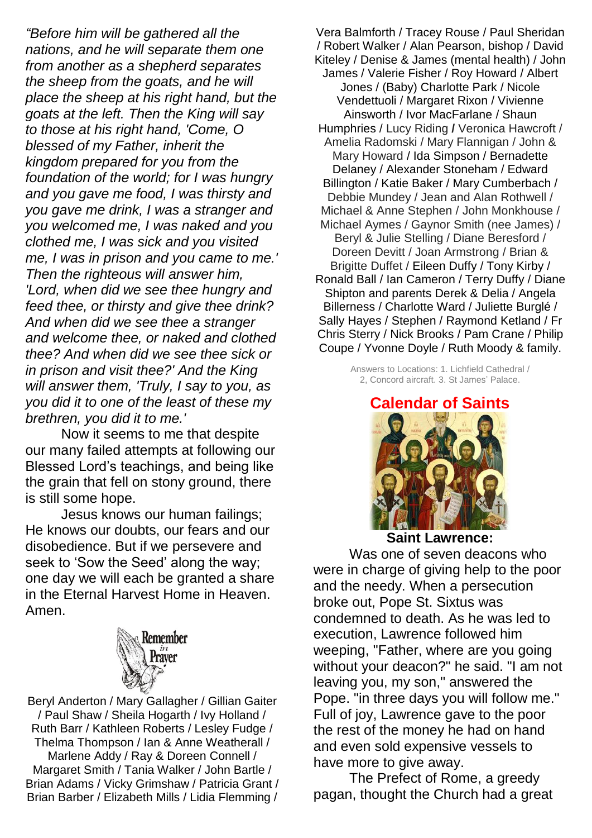*"Before him will be gathered all the nations, and he will separate them one from another as a shepherd separates the sheep from the goats, and he will place the sheep at his right hand, but the goats at the left. Then the King will say to those at his right hand, 'Come, O blessed of my Father, inherit the kingdom prepared for you from the foundation of the world; for I was hungry and you gave me food, I was thirsty and you gave me drink, I was a stranger and you welcomed me, I was naked and you clothed me, I was sick and you visited me, I was in prison and you came to me.' Then the righteous will answer him, 'Lord, when did we see thee hungry and feed thee, or thirsty and give thee drink? And when did we see thee a stranger and welcome thee, or naked and clothed thee? And when did we see thee sick or in prison and visit thee?' And the King will answer them, 'Truly, I say to you, as you did it to one of the least of these my brethren, you did it to me.'*

Now it seems to me that despite our many failed attempts at following our Blessed Lord's teachings, and being like the grain that fell on stony ground, there is still some hope.

Jesus knows our human failings; He knows our doubts, our fears and our disobedience. But if we persevere and seek to 'Sow the Seed' along the way; one day we will each be granted a share in the Eternal Harvest Home in Heaven. Amen.



Beryl Anderton / Mary Gallagher / Gillian Gaiter / Paul Shaw / Sheila Hogarth / Ivy Holland / Ruth Barr / Kathleen Roberts / Lesley Fudge / Thelma Thompson / Ian & Anne Weatherall / Marlene Addy / Ray & Doreen Connell / Margaret Smith / Tania Walker / John Bartle / Brian Adams / Vicky Grimshaw / Patricia Grant / Brian Barber / Elizabeth Mills / Lidia Flemming /

Vera Balmforth / Tracey Rouse / Paul Sheridan / Robert Walker / Alan Pearson, bishop / David Kiteley / Denise & James (mental health) / John James / Valerie Fisher / Roy Howard / Albert Jones / (Baby) Charlotte Park / Nicole Vendettuoli / Margaret Rixon / Vivienne Ainsworth / Ivor MacFarlane / Shaun Humphries / Lucy Riding **/** Veronica Hawcroft / Amelia Radomski / Mary Flannigan / John & Mary Howard / Ida Simpson / Bernadette Delaney / Alexander Stoneham / Edward Billington / Katie Baker / Mary Cumberbach / Debbie Mundey / Jean and Alan Rothwell / Michael & Anne Stephen / John Monkhouse / Michael Aymes / Gaynor Smith (nee James) / Beryl & Julie Stelling / Diane Beresford / Doreen Devitt / Joan Armstrong / Brian & Brigitte Duffet / Eileen Duffy / Tony Kirby / Ronald Ball / Ian Cameron / Terry Duffy / Diane Shipton and parents Derek & Delia / Angela Billerness / Charlotte Ward / Juliette Burglé / Sally Hayes / Stephen / Raymond Ketland / Fr Chris Sterry / Nick Brooks / Pam Crane / Philip Coupe / Yvonne Doyle / Ruth Moody & family.

> Answers to Locations: 1. Lichfield Cathedral / 2, Concord aircraft. 3. St James' Palace.

### **Calendar of Saints**



**Saint Lawrence:**

Was one of seven [deacons](http://www.catholic.org/encyclopedia/view.php?id=3690) who were in charge of giving help to the poor and the needy. When a persecution broke out, Pope St. Sixtus was condemned to death. As he was led to execution, Lawrence followed him weeping, "Father, where are you going without your deacon?" he said. "I am not leaving you, my son," answered the Pope. "in three days you [will](http://www.catholic.org/encyclopedia/view.php?id=12332) follow me." Full of joy, Lawrence gave to the poor the rest of the money he had on hand and even sold expensive vessels to have more to give away.

The Prefect of Rome, a greedy pagan, thought the Church had a great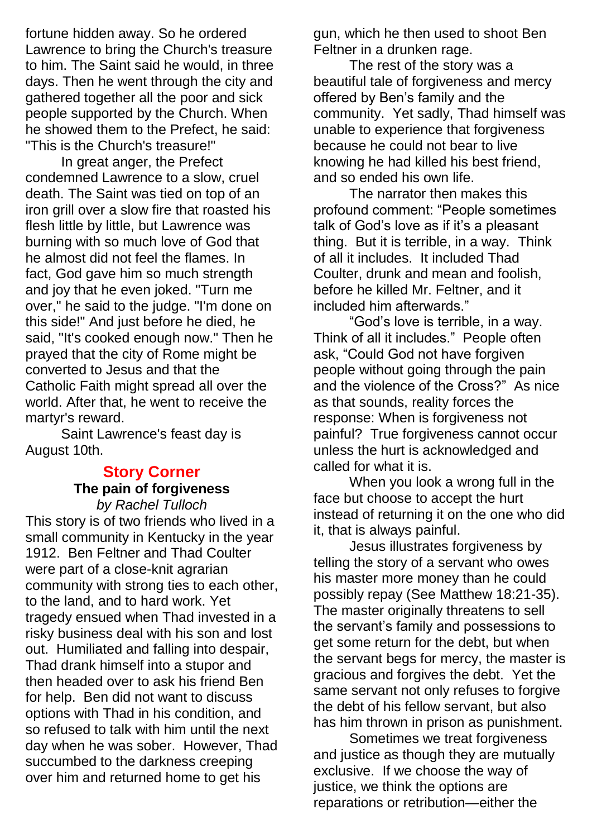fortune hidden away. So he ordered Lawrence to bring the Church's treasure to him. The Saint said he would, in three days. Then he went through the city and gathered together all the poor and sick people supported by the Church. When he showed them to the Prefect, he said: "This is the Church's treasure!"

In great anger, the Prefect condemned Lawrence to a slow, cruel death. The Saint was tied on top of an iron grill over a slow fire that roasted his flesh little by little, but Lawrence was burning with so much love of [God](http://www.catholic.org/encyclopedia/view.php?id=5217) that he almost did not feel the flames. In fact, [God](http://www.catholic.org/encyclopedia/view.php?id=5217) gave him so much strength and joy that he even joked. "Turn me over," he said to the judge. "I'm done on this side!" And just before he died, he said, "It's cooked enough now." Then he prayed that the city of [Rome](http://www.catholic.org/encyclopedia/view.php?id=10148) might be converted to [Jesus](http://www.catholic.org/clife/jesus) and that the [Catholic](http://www.catholic.org/encyclopedia/view.php?id=2678) [Faith](http://www.catholic.org/encyclopedia/view.php?id=4554) might spread all over the world. After that, he went to receive the martyr's reward.

Saint Lawrence's [feast day](http://www.catholic.org/saints/f_day/) is August 10th.

#### **Story Corner The pain of forgiveness** *by Rachel Tulloch*

This story is of two friends who lived in a small community in Kentucky in the year 1912. Ben Feltner and Thad Coulter were part of a close-knit agrarian community with strong ties to each other, to the land, and to hard work. Yet tragedy ensued when Thad invested in a risky business deal with his son and lost out. Humiliated and falling into despair, Thad drank himself into a stupor and then headed over to ask his friend Ben for help. Ben did not want to discuss options with Thad in his condition, and so refused to talk with him until the next day when he was sober. However, Thad succumbed to the darkness creeping over him and returned home to get his

gun, which he then used to shoot Ben Feltner in a drunken rage.

The rest of the story was a beautiful tale of forgiveness and mercy offered by Ben's family and the community. Yet sadly, Thad himself was unable to experience that forgiveness because he could not bear to live knowing he had killed his best friend, and so ended his own life.

The narrator then makes this profound comment: "People sometimes talk of God's love as if it's a pleasant thing. But it is terrible, in a way. Think of all it includes. It included Thad Coulter, drunk and mean and foolish, before he killed Mr. Feltner, and it included him afterwards."

"God's love is terrible, in a way. Think of all it includes." People often ask, "Could God not have forgiven people without going through the pain and the violence of the Cross?" As nice as that sounds, reality forces the response: When is forgiveness not painful? True forgiveness cannot occur unless the hurt is acknowledged and called for what it is.

When you look a wrong full in the face but choose to accept the hurt instead of returning it on the one who did it, that is always painful.

Jesus illustrates forgiveness by telling the story of a servant who owes his master more money than he could possibly repay (See Matthew 18:21-35). The master originally threatens to sell the servant's family and possessions to get some return for the debt, but when the servant begs for mercy, the master is gracious and forgives the debt. Yet the same servant not only refuses to forgive the debt of his fellow servant, but also has him thrown in prison as punishment.

Sometimes we treat forgiveness and justice as though they are mutually exclusive. If we choose the way of justice, we think the options are reparations or retribution—either the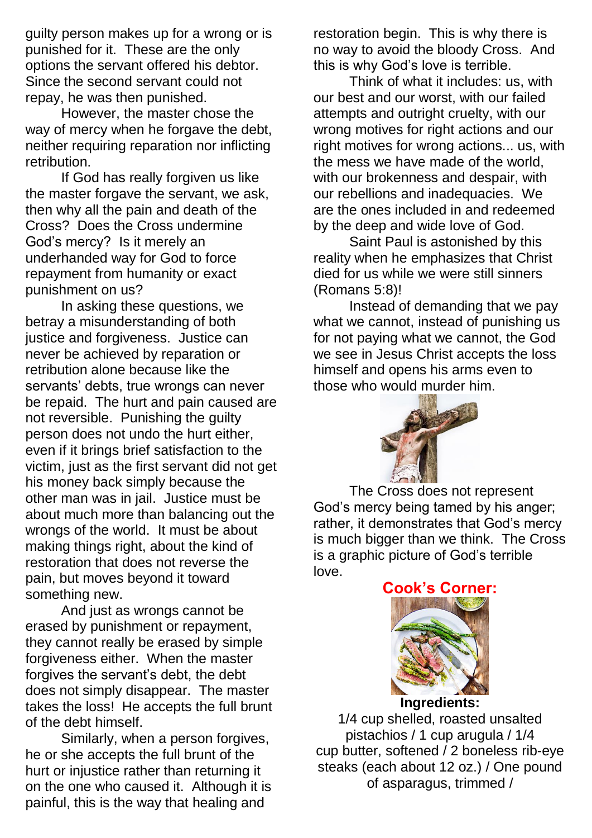guilty person makes up for a wrong or is punished for it. These are the only options the servant offered his debtor. Since the second servant could not repay, he was then punished.

However, the master chose the way of mercy when he forgave the debt, neither requiring reparation nor inflicting retribution.

If God has really forgiven us like the master forgave the servant, we ask, then why all the pain and death of the Cross? Does the Cross undermine God's mercy? Is it merely an underhanded way for God to force repayment from humanity or exact punishment on us?

In asking these questions, we betray a misunderstanding of both justice and forgiveness. Justice can never be achieved by reparation or retribution alone because like the servants' debts, true wrongs can never be repaid. The hurt and pain caused are not reversible. Punishing the guilty person does not undo the hurt either, even if it brings brief satisfaction to the victim, just as the first servant did not get his money back simply because the other man was in jail. Justice must be about much more than balancing out the wrongs of the world. It must be about making things right, about the kind of restoration that does not reverse the pain, but moves beyond it toward something new.

And just as wrongs cannot be erased by punishment or repayment, they cannot really be erased by simple forgiveness either. When the master forgives the servant's debt, the debt does not simply disappear. The master takes the loss! He accepts the full brunt of the debt himself.

Similarly, when a person forgives, he or she accepts the full brunt of the hurt or injustice rather than returning it on the one who caused it. Although it is painful, this is the way that healing and

restoration begin. This is why there is no way to avoid the bloody Cross. And this is why God's love is terrible.

Think of what it includes: us, with our best and our worst, with our failed attempts and outright cruelty, with our wrong motives for right actions and our right motives for wrong actions... us, with the mess we have made of the world, with our brokenness and despair, with our rebellions and inadequacies. We are the ones included in and redeemed by the deep and wide love of God.

Saint Paul is astonished by this reality when he emphasizes that Christ died for us while we were still sinners (Romans 5:8)!

Instead of demanding that we pay what we cannot, instead of punishing us for not paying what we cannot, the God we see in Jesus Christ accepts the loss himself and opens his arms even to those who would murder him.



The Cross does not represent God's mercy being tamed by his anger; rather, it demonstrates that God's mercy is much bigger than we think. The Cross is a graphic picture of God's terrible love.

**Cook's Corner:**



1/4 cup shelled, roasted unsalted pistachios / 1 cup arugula / 1/4 cup butter, softened / 2 boneless rib-eye steaks (each about 12 oz.) / One pound of asparagus, trimmed /